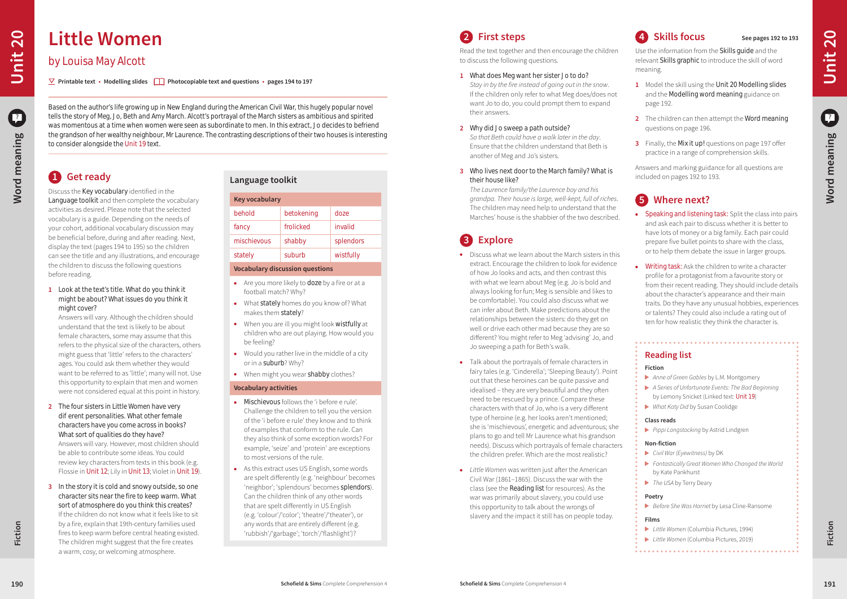## **Reading list**

#### **Fiction**

- *Anne of Green Gables* by L.M. Montgomery
- *A Series of Unfortunate Events: The Bad Beginning* by Lemony Snicket (Linked text: Unit 19)
- *What Katy Did* by Susan Coolidge

#### **Class reads**

*Pippi Longstocking* by Astrid Lindgren

#### **Non-fiction**

- *Civil War (Eyewitness)* by DK
- *Fantastically Great Women Who Changed the World* by Kate Pankhurst
- *The USA* by Terry Deary

#### **Poetry**

*Before She Was Harriet* by Lesa Cline-Ransome

### **Films**

- *Little Women* (Columbia Pictures, 1994)
- *Little Women* (Columbia Pictures, 2019)

## **4 Skills focus See pages 192 to 193**

Use the information from the Skills guide and the relevant Skills graphic to introduce the skill of word meaning.

• Speaking and listening task: Split the class into pairs and ask each pair to discuss whether it is better to have lots of money or a big family. Each pair could prepare five bullet points to share with the class, or to help them debate the issue in larger groups.

• Writing task: Ask the children to write a character profile for a protagonist from a favourite story or from their recent reading. They should include details about the character's appearance and their main traits. Do they have any unusual hobbies, experiences or talents? They could also include a rating out of ten for how realistic they think the character is.

- **1** Model the skill using the Unit 20 Modelling slides and the Modelling word meaning guidance on page 192.
- **2** The children can then attempt the Word meaning questions on page 196.
- **3** Finally, the Mix it up! questions on page 197 offer practice in a range of comprehension skills.

Answers and marking guidance for all questions are included on pages 192 to 193.

## **5 Where next?**

# **2 First steps**

Read the text together and then encourage the children to discuss the following questions.

- Discuss what we learn about the March sisters in this extract. Encourage the children to look for evidence of how Jo looks and acts, and then contrast this with what we learn about Meg (e.g. Jo is bold and always looking for fun; Meg is sensible and likes to be comfortable). You could also discuss what we can infer about Beth. Make predictions about the relationships between the sisters: do they get on well or drive each other mad because they are so different? You might refer to Meg 'advising' Jo, and Jo sweeping a path for Beth's walk.
- Talk about the portrayals of female characters in fairy tales (e.g. 'Cinderella'; 'Sleeping Beauty'). Point out that these heroines can be quite passive and idealised – they are very beautiful and they often need to be rescued by a prince. Compare these characters with that of Jo, who is a very different type of heroine (e.g. her looks aren't mentioned; she is 'mischievous', energetic and adventurous; she plans to go and tell Mr Laurence what his grandson needs). Discuss which portrayals of female characters the children prefer. Which are the most realistic?
- **•** Little Women was written just after the American Civil War (1861–1865). Discuss the war with the class (see the Reading list for resources). As the war was primarily about slavery, you could use this opportunity to talk about the wrongs of slavery and the impact it still has on people today.
- **1** What does Meg want her sister Jo to do? *Stay in by the fire instead of going out in the snow*. If the children only refer to what Meg does/does not want Jo to do, you could prompt them to expand their answers.
- **2** Why did Jo sweep a path outside? *So that Beth could have a walk later in the day*. Ensure that the children understand that Beth is another of Meg and Jo's sisters.
- **3** Who lives next door to the March family? What is their house like?

*The Laurence family/the Laurence boy and his grandpa. Their house is large, well-kept, full of riches*. The children may need help to understand that the Marches' house is the shabbier of the two described.

# **3 Explore**

- **.** Mischievous follows the 'i before e rule' Challenge the children to tell you the version of the 'i before e rule' they know and to think of examples that conform to the rule. Can they also think of some exception words? For example, 'seize' and 'protein' are exceptions to most versions of the rule.
- $\bullet$  As this extract uses US English, some words are spelt differently (e.g. 'neighbour' becomes 'neighbor'; 'splendours' becomes splendors). Can the children think of any other words that are spelt differently in US English (e.g. 'colour'/'color'; 'theatre'/'theater'), or any words that are entirely different (e.g. 'rubbish'/'garbage'; 'torch'/'flashlight')?

# **1 Get ready**

Discuss the Key vocabulary identified in the Language toolkit and then complete the vocabulary activities as desired. Please note that the selected vocabulary is a guide. Depending on the needs of your cohort, additional vocabulary discussion may be beneficial before, during and after reading. Next, display the text (pages 194 to 195) so the children can see the title and any illustrations, and encourage the children to discuss the following questions before reading.

**1** Look at the text's title. What do you think it might be about? What issues do you think it might cover?

Answers will vary. Although the children should understand that the text is likely to be about female characters, some may assume that this refers to the physical size of the characters, others might guess that 'little' refers to the characters' ages. You could ask them whether they would want to be referred to as 'little'; many will not. Use this opportunity to explain that men and women were not considered equal at this point in history.

**2** The four sisters in *Little Women* have very di erent personalities. What other female characters have you come across in books? What sort of qualities do they have? Answers will vary. However, most children should be able to contribute some ideas. You could review key characters from texts in this book (e.g.

Flossie in Unit 12; Lily in Unit 13; Violet in Unit 19).

**3** In the story it is cold and snowy outside, so one character sits near the fire to keep warm. What sort of atmosphere do you think this creates? If the children do not know what it feels like to sit by a fire, explain that 19th-century families used fires to keep warm before central heating existed. The children might suggest that the fire creates a warm, cosy, or welcoming atmosphere.

Based on the author's life growing up in New England during the American Civil War, this hugely popular novel tells the story of Meg, Jo, Beth and Amy March. Alcott's portrayal of the March sisters as ambitious and spirited **Parchi and Spirited and Spirited and Spirited** and the march sisters in the paramote the March sisters as a was momentous at a time when women were seen as subordinate to men. In this extract, Jo decides to befriend the grandson of her wealthy neighbour, Mr Laurence. The contrasting descriptions of their two houses is interesting to consider alongside the Unit 19 text.

**Printable text • Modelling slides Photocopiable text and questions • pages 194 to 197**

# **Little Women**

## by Louisa May Alcott

**Fiction**

**Fiction**

**Word meaning**

Word meaning

|                                        | <b>Key vocabulary</b> |           |  |  |  |
|----------------------------------------|-----------------------|-----------|--|--|--|
| behold                                 | betokening            | doze      |  |  |  |
| fancy                                  | frolicked             | invalid   |  |  |  |
| mischievous                            | shabby                | splendors |  |  |  |
| stately                                | suburb                | wistfully |  |  |  |
| <b>Vocabulary discussion questions</b> |                       |           |  |  |  |

- $\bullet$  Are you more likely to **doze** by a fire or at a football match? Why?
- What stately homes do you know of? What makes them stately?
- When you are ill you might look wistfully at children who are out playing. How would you be feeling?
- $\bullet$  Would you rather live in the middle of a city or in a suburb? Why?
- When might you wear shabby clothes?

#### **Vocabulary activities**

## **Language toolkit**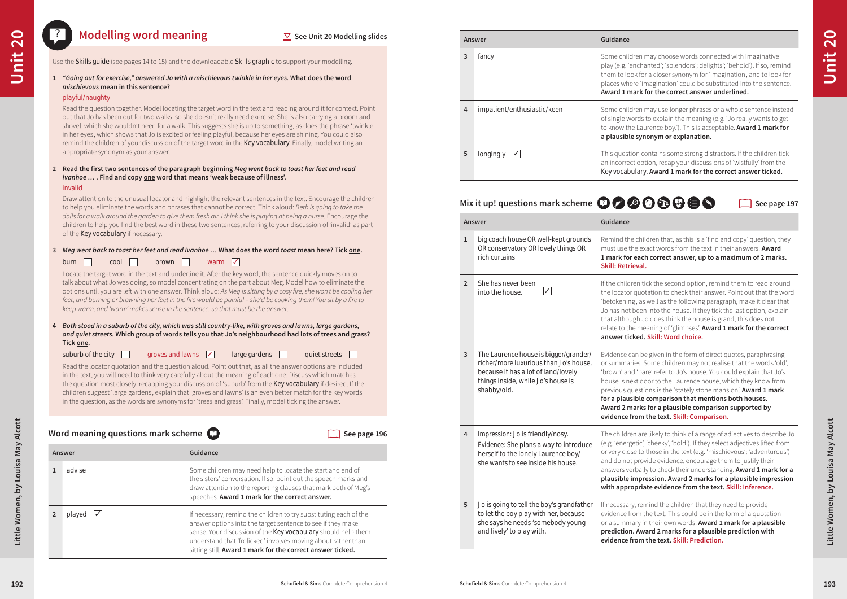tick the second option, remind them to read around otation to check their answer. Point out that the word as well as the following paragraph, make it clear that en into the house. If they tick the last option, explain Jo does think the house is grand, this does not reaning of 'glimpses'. Award 1 mark for the correct **answer ticked. Skill: Word choice.**

be given in the form of direct quotes, paraphrasing Some children may not realise that the words 'old', are' refer to Jo's house. You could explain that Jo's loor to the Laurence house, which they know from ions is the 'stately stone mansion'. **Award 1 mark for a plausible comparison that mentions both houses. Award 2 marks for a plausible comparison supported by evidence from the text. Skill: Comparison.**

re likely to think of a range of adjectives to describe Jo (e.g. 'cheeky', 'bold'). If they select adjectives lifted from o those in the text (e.g. 'mischievous'; 'adventurous') wide evidence, encourage them to justify their lly to check their understanding. **Award 1 mark for a pression. Award 2 marks for a plausible impression ate evidence from the text. Skill: Inference.** 

If mind the children that they need to provide the text. This could be in the form of a quotation in their own words. Award 1 mark for a plausible **prediction. Award 2 marks for a plausible prediction with evidence from the text. Skill: Prediction.**

**Answer Guidance 3** fancy **5** fancy **5** fancy **Some children may choose words connected with imaginative 5** longingly **√ i** This question contains some strong distractors. If the children tick

**2** played ✓ If necessary, remind the children to try substituting each of the

**4** impatient/enthusiastic/keen Some children may use longer phrases or a whole sentence instead of single words to explain the meaning (e.g. 'Jo really wants to get to know the Laurence boy.'). This is acceptable. **Award 1 mark for a plausible synonym or explanation.**



answer options into the target sentence to see if they make sense. Your discussion of the Key vocabulary should help them understand that 'frolicked' involves moving about rather than sitting still. **Award 1 mark for the correct answer ticked.**

|                | Mix it up! questions mark scheme $\bigoplus$ $\bigotimes$ $\bigotimes$                                                                                                      |                                                                                                                                                            |
|----------------|-----------------------------------------------------------------------------------------------------------------------------------------------------------------------------|------------------------------------------------------------------------------------------------------------------------------------------------------------|
|                | Answer                                                                                                                                                                      | Guidance                                                                                                                                                   |
| $\mathbf{1}$   | big coach house OR well-kept grounds<br>OR conservatory OR lovely things OR<br>rich curtains                                                                                | Remind the chil<br>must use the ex<br>1 mark for each<br><b>Skill: Retrieval.</b>                                                                          |
| $\overline{2}$ | She has never been<br>$\checkmark$<br>into the house.                                                                                                                       | If the children tie<br>the locator quot<br>'betokening', as<br>Jo has not been<br>that although Jo<br>relate to the me<br>answer ticked.                   |
| 3              | The Laurence house is bigger/grander/<br>richer/more luxurious than Jo's house,<br>because it has a lot of land/lovely<br>things inside, while Jo's house is<br>shabby/old. | Evidence can be<br>or summaries. S<br>'brown' and 'bar<br>house is next do<br>previous questio<br>for a plausible<br><b>Award 2 marks</b><br>evidence from |
| 4              | Impression: Jo is friendly/nosy.<br>Evidence: She plans a way to introduce<br>herself to the lonely Laurence boy/<br>she wants to see inside his house.                     | The children are<br>(e.g. 'energetic',<br>or very close to<br>and do not prov<br>answers verball<br>plausible impre<br>with appropria                      |
| 5              | Jo is going to tell the boy's grandfather<br>to let the boy play with her, because<br>she says he needs 'somebody young<br>and lively' to play with.                        | If necessary, ren<br>evidence from tl<br>or a summary ir<br>prediction. Awa<br>evidence from                                                               |

play (e.g. 'enchanted'; 'splendors'; delights'; 'behold'). If so, remind them to look for a closer synonym for 'imagination', and to look for places where 'imagination' could be substituted into the sentence. **Award 1 mark for the correct answer underlined.**

an incorrect option, recap your discussions of 'wistfully' from the Key vocabulary. **Award 1 mark for the correct answer ticked.**

**See page 197** 

hildren that, as this is a 'find and copy' question, they exact words from the text in their answers. **Award** ch correct answer, up to a maximum of 2 marks.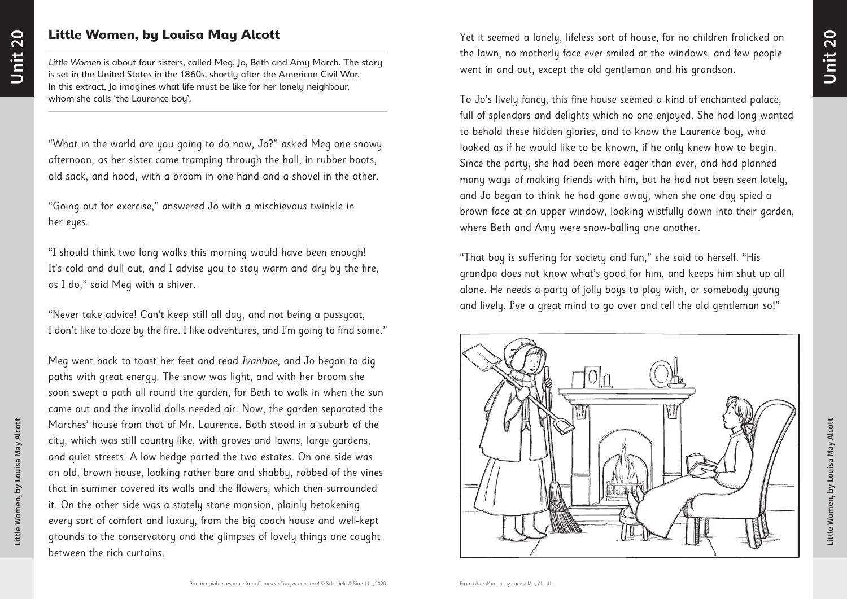"What in the world are you going to do now, Jo?" asked Meg one snowy afternoon, as her sister came tramping through the hall, in rubber boots, old sack, and hood, with a broom in one hand and a shovel in the other.

"Going out for exercise," answered Jo with a mischievous twinkle in her eyes.

"I should think two long walks this morning would have been enough! It's cold and dull out, and I advise you to stay warm and dry by the fire, as I do," said Meg with a shiver.

"Never take advice! Can't keep still all day, and not being a pussycat, I don't like to doze by the fire. I like adventures, and I'm going to find some."

Meg went back to toast her feet and read Ivanhoe, and Jo began to dig paths with great energy. The snow was light, and with her broom she soon swept a path all round the garden, for Beth to walk in when the sun came out and the invalid dolls needed air. Now, the garden separated the Marches' house from that of Mr. Laurence. Both stood in a suburb of the city, which was still country-like, with groves and lawns, large gardens, and quiet streets. A low hedge parted the two estates. On one side was an old, brown house, looking rather bare and shabby, robbed of the vines that in summer covered its walls and the flowers, which then surrounded it. On the other side was a stately stone mansion, plainly betokening every sort of comfort and luxury, from the big coach house and well-kept grounds to the conservatory and the glimpses of lovely things one caught between the rich curtains.

Yet it seemed a lonely, lifeless sort of house, for no children frolicked on the lawn, no motherly face ever smiled at the windows, and few people went in and out, except the old gentleman and his grandson.

To Jo's lively fancy, this fine house seemed a kind of enchanted palace, full of splendors and delights which no one enjoyed. She had long wanted to behold these hidden glories, and to know the Laurence boy, who looked as if he would like to be known, if he only knew how to begin. Since the party, she had been more eager than ever, and had planned many ways of making friends with him, but he had not been seen lately, and Jo began to think he had gone away, when she one day spied a brown face at an upper window, looking wistfully down into their garden, where Beth and Amy were snow-balling one another.

"That boy is suffering for society and fun," she said to herself. "His grandpa does not know what's good for him, and keeps him shut up all alone. He needs a party of jolly boys to play with, or somebody young and lively. I've a great mind to go over and tell the old gentleman so!"



# Little Women, by Louisa May Alcott

*Little Women* is about four sisters, called Meg, Jo, Beth and Amy March. The story is set in the United States in the 1860s, shortly after the American Civil War. In this extract, Jo imagines what life must be like for her lonely neighbour, whom she calls 'the Laurence boy'.